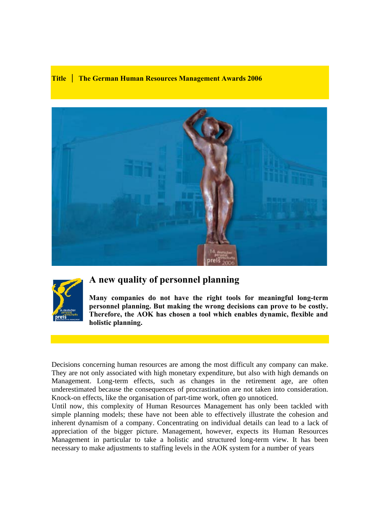## **Title │ The German Human Resources Management Awards 2006**





# **A new quality of personnel planning**

**Many companies do not have the right tools for meaningful long-term personnel planning. But making the wrong decisions can prove to be costly. Therefore, the AOK has chosen a tool which enables dynamic, flexible and holistic planning.** 

Decisions concerning human resources are among the most difficult any company can make. They are not only associated with high monetary expenditure, but also with high demands on Management. Long-term effects, such as changes in the retirement age, are often underestimated because the consequences of procrastination are not taken into consideration. Knock-on effects, like the organisation of part-time work, often go unnoticed.

Until now, this complexity of Human Resources Management has only been tackled with simple planning models; these have not been able to effectively illustrate the cohesion and inherent dynamism of a company. Concentrating on individual details can lead to a lack of appreciation of the bigger picture. Management, however, expects its Human Resources Management in particular to take a holistic and structured long-term view. It has been necessary to make adjustments to staffing levels in the AOK system for a number of years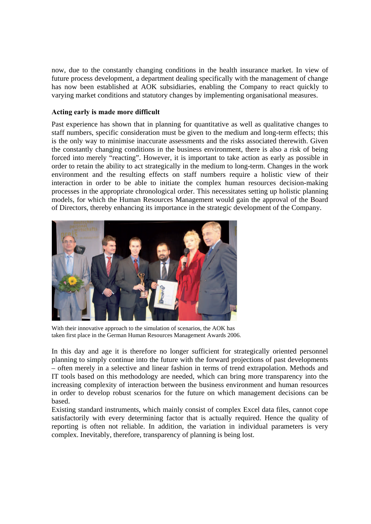now, due to the constantly changing conditions in the health insurance market. In view of future process development, a department dealing specifically with the management of change has now been established at AOK subsidiaries, enabling the Company to react quickly to varying market conditions and statutory changes by implementing organisational measures.

## **Acting early is made more difficult**

Past experience has shown that in planning for quantitative as well as qualitative changes to staff numbers, specific consideration must be given to the medium and long-term effects; this is the only way to minimise inaccurate assessments and the risks associated therewith. Given the constantly changing conditions in the business environment, there is also a risk of being forced into merely "reacting". However, it is important to take action as early as possible in order to retain the ability to act strategically in the medium to long-term. Changes in the work environment and the resulting effects on staff numbers require a holistic view of their interaction in order to be able to initiate the complex human resources decision-making processes in the appropriate chronological order. This necessitates setting up holistic planning models, for which the Human Resources Management would gain the approval of the Board of Directors, thereby enhancing its importance in the strategic development of the Company.



With their innovative approach to the simulation of scenarios, the AOK has taken first place in the German Human Resources Management Awards 2006.

In this day and age it is therefore no longer sufficient for strategically oriented personnel planning to simply continue into the future with the forward projections of past developments – often merely in a selective and linear fashion in terms of trend extrapolation. Methods and IT tools based on this methodology are needed, which can bring more transparency into the increasing complexity of interaction between the business environment and human resources in order to develop robust scenarios for the future on which management decisions can be based.

Existing standard instruments, which mainly consist of complex Excel data files, cannot cope satisfactorily with every determining factor that is actually required. Hence the quality of reporting is often not reliable. In addition, the variation in individual parameters is very complex. Inevitably, therefore, transparency of planning is being lost.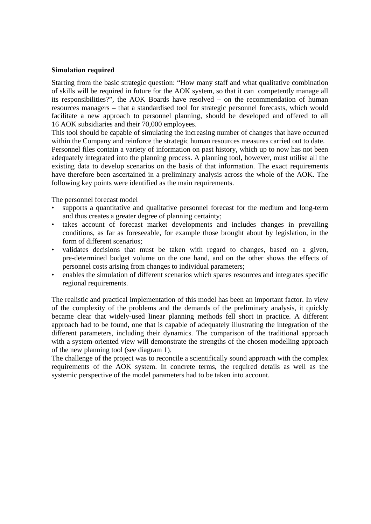## **Simulation required**

Starting from the basic strategic question: "How many staff and what qualitative combination of skills will be required in future for the AOK system, so that it can competently manage all its responsibilities?", the AOK Boards have resolved – on the recommendation of human resources managers – that a standardised tool for strategic personnel forecasts, which would facilitate a new approach to personnel planning, should be developed and offered to all 16 AOK subsidiaries and their 70,000 employees.

This tool should be capable of simulating the increasing number of changes that have occurred within the Company and reinforce the strategic human resources measures carried out to date. Personnel files contain a variety of information on past history, which up to now has not been adequately integrated into the planning process. A planning tool, however, must utilise all the

existing data to develop scenarios on the basis of that information. The exact requirements have therefore been ascertained in a preliminary analysis across the whole of the AOK. The following key points were identified as the main requirements.

The personnel forecast model

- supports a quantitative and qualitative personnel forecast for the medium and long-term and thus creates a greater degree of planning certainty;
- takes account of forecast market developments and includes changes in prevailing conditions, as far as foreseeable, for example those brought about by legislation, in the form of different scenarios;
- validates decisions that must be taken with regard to changes, based on a given, pre-determined budget volume on the one hand, and on the other shows the effects of personnel costs arising from changes to individual parameters;
- enables the simulation of different scenarios which spares resources and integrates specific regional requirements.

The realistic and practical implementation of this model has been an important factor. In view of the complexity of the problems and the demands of the preliminary analysis, it quickly became clear that widely-used linear planning methods fell short in practice. A different approach had to be found, one that is capable of adequately illustrating the integration of the different parameters, including their dynamics. The comparison of the traditional approach with a system-oriented view will demonstrate the strengths of the chosen modelling approach of the new planning tool (see diagram 1).

The challenge of the project was to reconcile a scientifically sound approach with the complex requirements of the AOK system. In concrete terms, the required details as well as the systemic perspective of the model parameters had to be taken into account.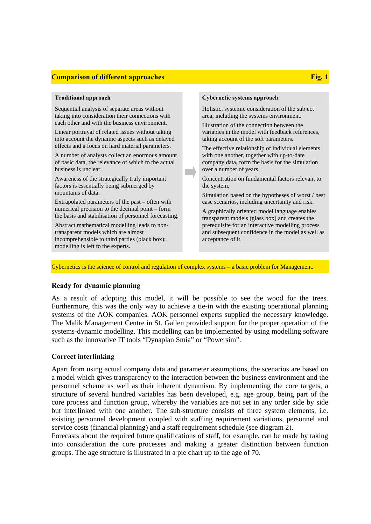## **Comparison of different approaches Fig. 1 Comparison of different approaches**

Sequential analysis of separate areas without taking into consideration their connections with each other and with the business environment.

Linear portrayal of related issues without taking into account the dynamic aspects such as delayed effects and a focus on hard material parameters.

A number of analysts collect an enormous amount of basic data, the relevance of which to the actual business is unclear.

Awareness of the strategically truly important factors is essentially being submerged by mountains of data.

Extrapolated parameters of the past – often with numerical precision to the decimal point – form the basis and stabilisation of personnel forecasting.

Abstract mathematical modelling leads to nontransparent models which are almost incomprehensible to third parties (black box); modelling is left to the experts.

### **Traditional approach Cybernetic systems approach**

Holistic, systemic consideration of the subject area, including the systems environment.

Illustration of the connection between the variables in the model with feedback references, taking account of the soft parameters.

The effective relationship of individual elements with one another, together with up-to-date company data, form the basis for the simulation over a number of years.

Concentration on fundamental factors relevant to the system.

Simulation based on the hypotheses of worst / best case scenarios, including uncertainty and risk.

A graphically oriented model language enables transparent models (glass box) and creates the prerequisite for an interactive modelling process and subsequent confidence in the model as well as acceptance of it.

Cybernetics is the science of control and regulation of complex systems – a basic problem for Management.

## **Ready for dynamic planning**

As a result of adopting this model, it will be possible to see the wood for the trees. Furthermore, this was the only way to achieve a tie-in with the existing operational planning systems of the AOK companies. AOK personnel experts supplied the necessary knowledge. The Malik Management Centre in St. Gallen provided support for the proper operation of the systems-dynamic modelling. This modelling can be implemented by using modelling software such as the innovative IT tools "Dynaplan Smia" or "Powersim".

## **Correct interlinking**

Apart from using actual company data and parameter assumptions, the scenarios are based on a model which gives transparency to the interaction between the business environment and the personnel scheme as well as their inherent dynamism. By implementing the core targets, a structure of several hundred variables has been developed, e.g. age group, being part of the core process and function group, whereby the variables are not set in any order side by side but interlinked with one another. The sub-structure consists of three system elements, i.e. existing personnel development coupled with staffing requirement variations, personnel and service costs (financial planning) and a staff requirement schedule (see diagram 2).

Forecasts about the required future qualifications of staff, for example, can be made by taking into consideration the core processes and making a greater distinction between function groups. The age structure is illustrated in a pie chart up to the age of 70.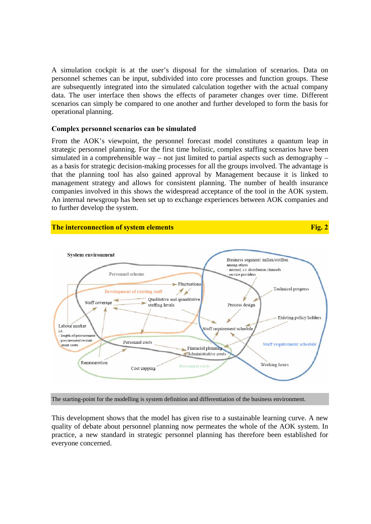A simulation cockpit is at the user's disposal for the simulation of scenarios. Data on personnel schemes can be input, subdivided into core processes and function groups. These are subsequently integrated into the simulated calculation together with the actual company data. The user interface then shows the effects of parameter changes over time. Different scenarios can simply be compared to one another and further developed to form the basis for operational planning.

## **Complex personnel scenarios can be simulated**

From the AOK's viewpoint, the personnel forecast model constitutes a quantum leap in strategic personnel planning. For the first time holistic, complex staffing scenarios have been simulated in a comprehensible way – not just limited to partial aspects such as demography – as a basis for strategic decision-making processes for all the groups involved. The advantage is that the planning tool has also gained approval by Management because it is linked to management strategy and allows for consistent planning. The number of health insurance companies involved in this shows the widespread acceptance of the tool in the AOK system. An internal newsgroup has been set up to exchange experiences between AOK companies and to further develop the system.





The starting-point for the modelling is system definition and differentiation of the business environment.

This development shows that the model has given rise to a sustainable learning curve. A new quality of debate about personnel planning now permeates the whole of the AOK system. In practice, a new standard in strategic personnel planning has therefore been established for everyone concerned.